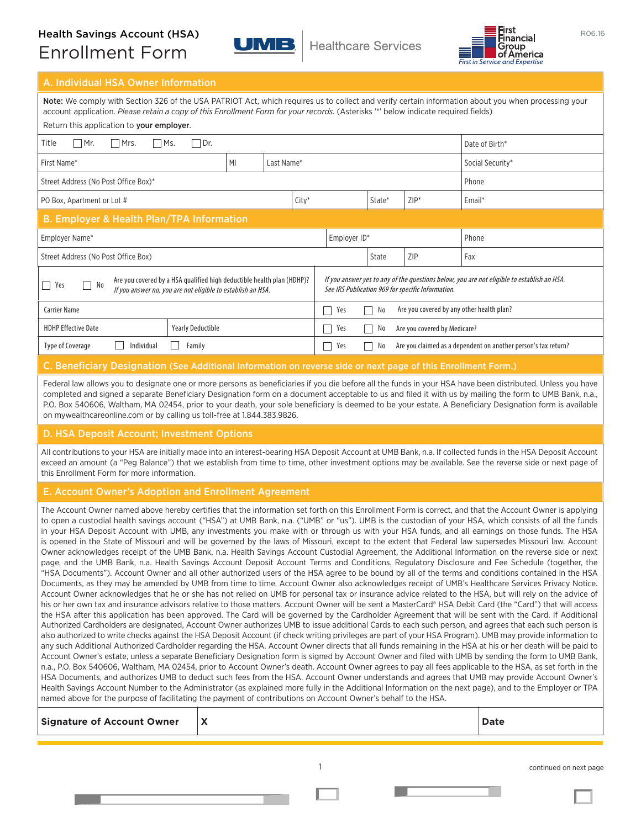# Health Savings Account (HSA)<br>  $\begin{array}{c} \begin{array}{c} \hline \text{First} \\ \text{Finally} \end{array} \\ \hline \end{array}$  Healthcare Services  $\begin{array}{c} \hline \text{First} \\ \hline \text{Finally} \end{array}$ Enrollment Form





## A. Individual HSA Owner Information

Note: We comply with Section 326 of the USA PATRIOT Act, which requires us to collect and verify certain information about you when processing your account application. *Please retain a copy of this Enrollment Form for your records.* (Asterisks '\*' below indicate required fields) Return this application to your employer.

| $\alpha$ and $\alpha$ and $\alpha$ and $\alpha$ and $\alpha$ and $\alpha$ and $\alpha$ and $\alpha$ and $\alpha$ and $\alpha$ and $\alpha$ and $\alpha$ and $\alpha$ and $\alpha$ and $\alpha$ and $\alpha$ and $\alpha$ and $\alpha$ and $\alpha$ and $\alpha$ and $\alpha$ and $\alpha$ and $\alpha$ and $\alpha$ and $\alpha$ |                |            |  |                                                                                                                                                 |        |            |                  |
|----------------------------------------------------------------------------------------------------------------------------------------------------------------------------------------------------------------------------------------------------------------------------------------------------------------------------------|----------------|------------|--|-------------------------------------------------------------------------------------------------------------------------------------------------|--------|------------|------------------|
| Dr.<br>Title<br>Mr.<br>$\Box$ Mrs.<br>$\Box$ Ms.<br>Date of Birth*                                                                                                                                                                                                                                                               |                |            |  |                                                                                                                                                 |        |            |                  |
| First Name*                                                                                                                                                                                                                                                                                                                      | M <sub>l</sub> | Last Name* |  |                                                                                                                                                 |        |            | Social Security* |
| Street Address (No Post Office Box)*<br>Phone                                                                                                                                                                                                                                                                                    |                |            |  |                                                                                                                                                 |        |            |                  |
| $City*$<br>PO Box, Apartment or Lot #                                                                                                                                                                                                                                                                                            |                |            |  |                                                                                                                                                 | State* | $ZIP^*$    | Email*           |
| <b>B. Employer &amp; Health Plan/TPA Information</b>                                                                                                                                                                                                                                                                             |                |            |  |                                                                                                                                                 |        |            |                  |
| Employer Name*                                                                                                                                                                                                                                                                                                                   |                |            |  | Employer ID*                                                                                                                                    |        |            | Phone            |
| Street Address (No Post Office Box)                                                                                                                                                                                                                                                                                              |                |            |  |                                                                                                                                                 | State  | <b>ZIP</b> | Fax              |
| Are you covered by a HSA qualified high deductible health plan (HDHP)?<br>No<br>$\Box$<br>Yes<br>Ξ<br>If you answer no, you are not eligible to establish an HSA.                                                                                                                                                                |                |            |  | If you answer yes to any of the questions below, you are not eligible to establish an HSA.<br>See IRS Publication 969 for specific Information. |        |            |                  |
| <b>Carrier Name</b>                                                                                                                                                                                                                                                                                                              |                |            |  | Are you covered by any other health plan?<br>Yes<br>No<br>$\overline{\phantom{0}}$                                                              |        |            |                  |
| <b>HDHP Effective Date</b><br><b>Yearly Deductible</b>                                                                                                                                                                                                                                                                           |                |            |  | Yes<br>No<br>Are you covered by Medicare?<br>$\mathbf{I}$                                                                                       |        |            |                  |
| Type of Coverage<br>Individual<br>Family                                                                                                                                                                                                                                                                                         |                |            |  | Are you claimed as a dependent on another person's tax return?<br>Yes<br>No                                                                     |        |            |                  |
| <b><i>Charles Committee Committee Committee</i></b>                                                                                                                                                                                                                                                                              |                |            |  |                                                                                                                                                 |        |            |                  |

## C. Beneficiary Designation (See Additional Information on reverse side or next page of this Enrollment Form.)

Federal law allows you to designate one or more persons as beneficiaries if you die before all the funds in your HSA have been distributed. Unless you have completed and signed a separate Beneficiary Designation form on a document acceptable to us and filed it with us by mailing the form to UMB Bank, n.a., P.O. Box 540606, Waltham, MA 02454, prior to your death, your sole beneficiary is deemed to be your estate. A Beneficiary Designation form is available on mywealthcareonline.com or by calling us toll-free at 1.844.383.9826.

## D. HSA Deposit Account; Investment Options

All contributions to your HSA are initially made into an interest-bearing HSA Deposit Account at UMB Bank, n.a. If collected funds in the HSA Deposit Account exceed an amount (a "Peg Balance") that we establish from time to time, other investment options may be available. See the reverse side or next page of this Enrollment Form for more information.

## E. Account Owner's Adoption and Enrollment Agreement

The Account Owner named above hereby certifies that the information set forth on this Enrollment Form is correct, and that the Account Owner is applying to open a custodial health savings account ("HSA") at UMB Bank, n.a. ("UMB" or "us"). UMB is the custodian of your HSA, which consists of all the funds in your HSA Deposit Account with UMB, any investments you make with or through us with your HSA funds, and all earnings on those funds. The HSA is opened in the State of Missouri and will be governed by the laws of Missouri, except to the extent that Federal law supersedes Missouri law. Account Owner acknowledges receipt of the UMB Bank, n.a. Health Savings Account Custodial Agreement, the Additional Information on the reverse side or next page, and the UMB Bank, n.a. Health Savings Account Deposit Account Terms and Conditions, Regulatory Disclosure and Fee Schedule (together, the "HSA Documents"). Account Owner and all other authorized users of the HSA agree to be bound by all of the terms and conditions contained in the HSA Documents, as they may be amended by UMB from time to time. Account Owner also acknowledges receipt of UMB's Healthcare Services Privacy Notice. Account Owner acknowledges that he or she has not relied on UMB for personal tax or insurance advice related to the HSA, but will rely on the advice of his or her own tax and insurance advisors relative to those matters. Account Owner will be sent a MasterCard® HSA Debit Card (the "Card") that will access the HSA after this application has been approved. The Card will be governed by the Cardholder Agreement that will be sent with the Card. If Additional Authorized Cardholders are designated, Account Owner authorizes UMB to issue additional Cards to each such person, and agrees that each such person is also authorized to write checks against the HSA Deposit Account (if check writing privileges are part of your HSA Program). UMB may provide information to any such Additional Authorized Cardholder regarding the HSA. Account Owner directs that all funds remaining in the HSA at his or her death will be paid to Account Owner's estate, unless a separate Beneficiary Designation form is signed by Account Owner and filed with UMB by sending the form to UMB Bank, n.a., P.O. Box 540606, Waltham, MA 02454, prior to Account Owner's death. Account Owner agrees to pay all fees applicable to the HSA, as set forth in the HSA Documents, and authorizes UMB to deduct such fees from the HSA. Account Owner understands and agrees that UMB may provide Account Owner's Health Savings Account Number to the Administrator (as explained more fully in the Additional Information on the next page), and to the Employer or TPA named above for the purpose of facilitating the payment of contributions on Account Owner's behalf to the HSA.

| <b>Signature of Account Owner</b> |  | <b>Date</b> |
|-----------------------------------|--|-------------|
|-----------------------------------|--|-------------|

continued on next page

1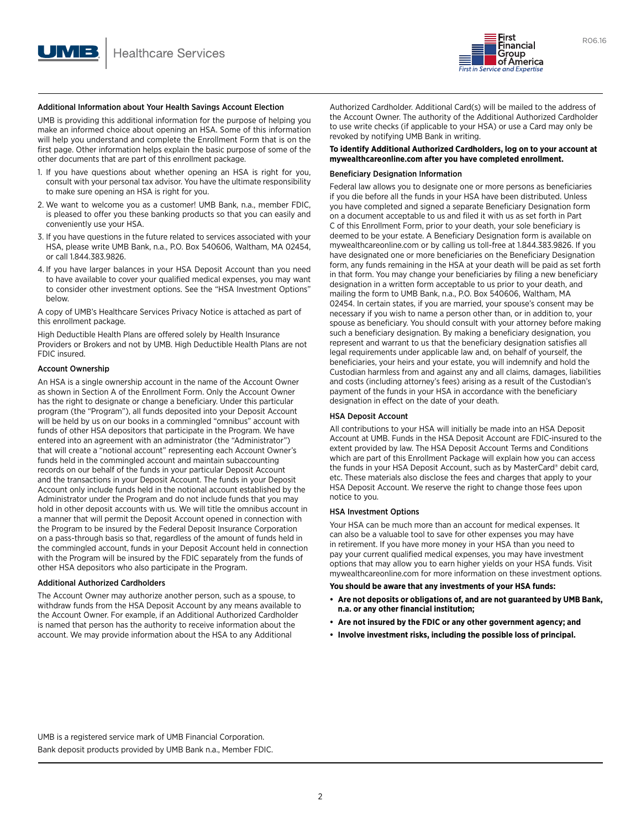

UMB is providing this additional information for the purpose of helping you make an informed choice about opening an HSA. Some of this information will help you understand and complete the Enrollment Form that is on the first page. Other information helps explain the basic purpose of some of the other documents that are part of this enrollment package.

- 1. If you have questions about whether opening an HSA is right for you, consult with your personal tax advisor. You have the ultimate responsibility to make sure opening an HSA is right for you.
- 2. We want to welcome you as a customer! UMB Bank, n.a., member FDIC, is pleased to offer you these banking products so that you can easily and conveniently use your HSA.
- 3. If you have questions in the future related to services associated with your HSA, please write UMB Bank, n.a., P.O. Box 540606, Waltham, MA 02454, or call 1.844.383.9826.
- 4. If you have larger balances in your HSA Deposit Account than you need to have available to cover your qualified medical expenses, you may want to consider other investment options. See the "HSA Investment Options" below.

A copy of UMB's Healthcare Services Privacy Notice is attached as part of this enrollment package.

High Deductible Health Plans are offered solely by Health Insurance Providers or Brokers and not by UMB. High Deductible Health Plans are not FDIC insured.

### Account Ownership

An HSA is a single ownership account in the name of the Account Owner as shown in Section A of the Enrollment Form. Only the Account Owner has the right to designate or change a beneficiary. Under this particular program (the "Program"), all funds deposited into your Deposit Account will be held by us on our books in a commingled "omnibus" account with funds of other HSA depositors that participate in the Program. We have entered into an agreement with an administrator (the "Administrator") that will create a "notional account" representing each Account Owner's funds held in the commingled account and maintain subaccounting records on our behalf of the funds in your particular Deposit Account and the transactions in your Deposit Account. The funds in your Deposit Account only include funds held in the notional account established by the Administrator under the Program and do not include funds that you may hold in other deposit accounts with us. We will title the omnibus account in a manner that will permit the Deposit Account opened in connection with the Program to be insured by the Federal Deposit Insurance Corporation on a pass-through basis so that, regardless of the amount of funds held in the commingled account, funds in your Deposit Account held in connection with the Program will be insured by the FDIC separately from the funds of other HSA depositors who also participate in the Program.

## Additional Authorized Cardholders

The Account Owner may authorize another person, such as a spouse, to withdraw funds from the HSA Deposit Account by any means available to the Account Owner. For example, if an Additional Authorized Cardholder is named that person has the authority to receive information about the account. We may provide information about the HSA to any Additional

Authorized Cardholder. Additional Card(s) will be mailed to the address of the Account Owner. The authority of the Additional Authorized Cardholder to use write checks (if applicable to your HSA) or use a Card may only be revoked by notifying UMB Bank in writing.

## **To identify Additional Authorized Cardholders, log on to your account at mywealthcareonline.com after you have completed enrollment.**

### Beneficiary Designation Information

Federal law allows you to designate one or more persons as beneficiaries if you die before all the funds in your HSA have been distributed. Unless you have completed and signed a separate Beneficiary Designation form on a document acceptable to us and filed it with us as set forth in Part C of this Enrollment Form, prior to your death, your sole beneficiary is deemed to be your estate. A Beneficiary Designation form is available on mywealthcareonline.com or by calling us toll-free at 1.844.383.9826. If you have designated one or more beneficiaries on the Beneficiary Designation form, any funds remaining in the HSA at your death will be paid as set forth in that form. You may change your beneficiaries by filing a new beneficiary designation in a written form acceptable to us prior to your death, and mailing the form to UMB Bank, n.a., P.O. Box 540606, Waltham, MA 02454. In certain states, if you are married, your spouse's consent may be necessary if you wish to name a person other than, or in addition to, your spouse as beneficiary. You should consult with your attorney before making such a beneficiary designation. By making a beneficiary designation, you represent and warrant to us that the beneficiary designation satisfies all legal requirements under applicable law and, on behalf of yourself, the beneficiaries, your heirs and your estate, you will indemnify and hold the Custodian harmless from and against any and all claims, damages, liabilities and costs (including attorney's fees) arising as a result of the Custodian's payment of the funds in your HSA in accordance with the beneficiary designation in effect on the date of your death.

## HSA Deposit Account

All contributions to your HSA will initially be made into an HSA Deposit Account at UMB. Funds in the HSA Deposit Account are FDIC-insured to the extent provided by law. The HSA Deposit Account Terms and Conditions which are part of this Enrollment Package will explain how you can access the funds in your HSA Deposit Account, such as by MasterCard® debit card, etc. These materials also disclose the fees and charges that apply to your HSA Deposit Account. We reserve the right to change those fees upon notice to you.

### HSA Investment Options

Your HSA can be much more than an account for medical expenses. It can also be a valuable tool to save for other expenses you may have in retirement. If you have more money in your HSA than you need to pay your current qualified medical expenses, you may have investment options that may allow you to earn higher yields on your HSA funds. Visit mywealthcareonline.com for more information on these investment options.

**You should be aware that any investments of your HSA funds:**

- **• Are not deposits or obligations of, and are not guaranteed by UMB Bank, n.a. or any other financial institution;**
- **• Are not insured by the FDIC or any other government agency; and**
- **• Involve investment risks, including the possible loss of principal.**

UMB is a registered service mark of UMB Financial Corporation. Bank deposit products provided by UMB Bank n.a., Member FDIC.

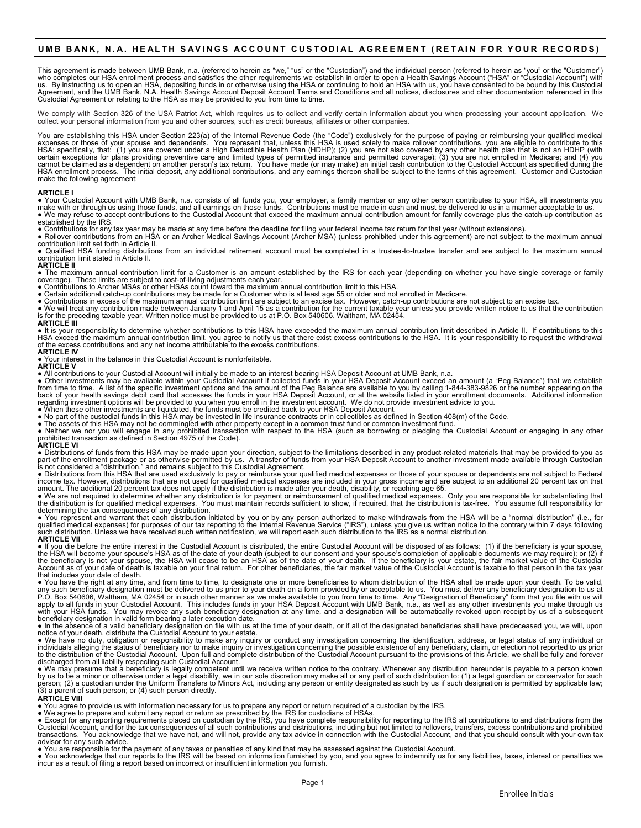## **UMB BANK, N.A. HEALTH SAVINGS ACCOUNT CUSTODIAL AGREEMENT (RETAIN FOR YOUR RECORDS)**

This agreement is made between UMB Bank, n.a. (referred to herein as "we," "us" or the "Custodian") and the individual person (referred to herein as "you" or the "Customer")<br>who completes our HSA enrollment process and sat

We comply with Section 326 of the USA Patriot Act, which requires us to collect and verify certain information about you when processing your account application. We collect your personal information from you and other sources, such as credit bureaus, affiliates or other companies.

You are establishing this HSA under Section 223(a) of the Internal Revenue Code (the "Code") exclusively for the purpose of paying or reimbursing your qualified medical<br>expenses or those of your spouse and dependents. You make the following agreement:

### **ARTICLE I**

● Your Custodial Account with UMB Bank, n.a. consists of all funds you, your employer, a family member or any other person contributes to your HSA, all investments you<br>make with or through us using those funds, and all ea

established by the IRS.<br>● Contributions for any tax year may be made at any time before the deadline for filing your federal income tax return for that year (without extensions).<br>● Rollover contributions from an HSA or an

● Qualified HSA funding distributions from an individual retirement account must be completed in a trustee-to-trustee transfer and are subject to the maximum annual contribution limit stated in Article II.

#### **ARTICLE II**

● The maximum annual contribution limit for a Customer is an amount established by the IRS for each year (depending on whether you have single coverage or family<br>coverage). These limits are subject to cost-of-living adjus

● Certain additional catch-up contributions may be made for a Customer who is at least age 55 or older and not enrolled in Medicare.<br>● Contributions in excess of the maximum annual contribution limit are subject to an exc **ARTICLE III**

● It is your responsibility to determine whether contributions to this HSA have exceeded the maximum annual contribution limit described in Article II. If contributions to this HSA exceed the maximum annual contribution limit, you agree to notify us that there exist excess contributions to the HSA. It is your responsibility to request the withdrawal<br>of the excess contributions and any net income **ARTICLE IV**

● Your interest in the balance in this Custodial Account is nonforfeitable. **ARTICLE V**

• All contributions to your Custodial Account will initially be made to an interest bearing HSA Deposit Account at UMB Bank, n.a.<br>• Other investments may be available within your Custodial Account if collected funds in you

● The assets of this HSA may not be commingled with other property except in a common trust fund or common investment fund.<br>● Neither we nor you will engage in any prohibited transaction with respect to the HSA (such as b

• Distributions of funds from this HSA may be made upon your direction, subject to the limitations described in any product-related materials that may be provided to you as<br>part of the enrollment package or as otherwise p

determining the tax consequences of any distribution.<br>● You represent and warrant that each distribution initiated by you or by any person authorized to make withdrawals from the HSA will be a "normal distribution" (i.e.,

● If you die before the entire interest in the Custodial Account is distributed, the entire Custodial Account will be disposed of as follows: (1) if the beneficiary is your spouse,<br>the HSA will become your spouse's HSA so Account as of your date of death is taxable on your final return. For other beneficiaries, the fair market value of the Custodial Account is taxable to that person in the tax year

that includes your date of death.<br>● You have the right at any time, and from time to time, to designate one or more beneficiaries to whom distribution of the HSA shall be made upon your death. To be valid, any such beneficiary designation must be delivered to us prior to your death on a form provided by or acceptable to us. You must deliver any beneficiary designation to us at<br>P.O. Box 540606, Waltham, MA 02454 or in such o

notice of your death, distribute the Custodial Account to your estate.<br>• We have no duty, obligation or responsibility to make any inquiry or conduct any investigation concerning the identification, address, or legal statu

person; (2) a custodian under the Uniform Transfers to Minors Act, including any person or entity designated as such by us if such designation is permitted by applicable law;<br>(3) a parent of such person; or (4) such person

### **ARTICLE VIII**

● You agree to provide us with information necessary for us to prepare any report or return required of a custodian by the IRS.<br>● We agree to prepare and submit any report or return as prescribed by the IRS for custodians advisor for any such advice.<br>● You are responsible for the payment of any taxes or penalties of any kind that may be assessed against the Custodial Account.

. You acknowledge that our reports to the IRS will be based on information furnished by you, and you agree to indemnify us for any liabilities, taxes, interest or penalties we incur as a result of filing a report based on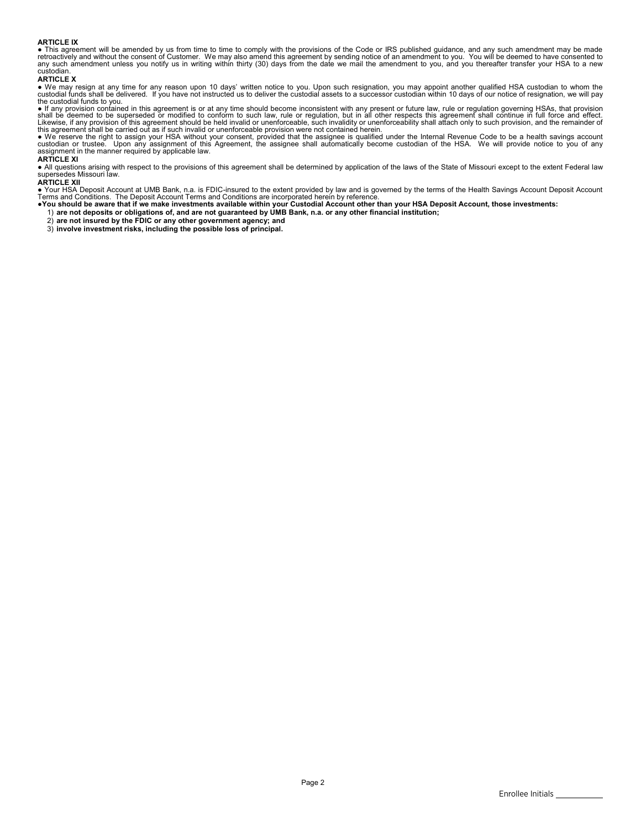## **ARTICLE IX**

● This agreement will be amended by us from time to time to comply with the provisions of the Code or IRS published guidance, and any such amendment may be made<br>retroactively and without the consent of Customer. We may al custodian

## **ARTICLE X**

● We may resign at any time for any reason upon 10 days' written notice to you. Upon such resignation, you may appoint another qualified HSA custodian to whom the<br>custodial funds shall be delivered. If you have not instru the custodial funds to you.

● If any provision contained in this agreement is or at any time should become inconsistent with any present or future law, rule or regulation governing HSAs, that provision<br>shall be deemed to be superseded or modified to

● We reserve the right to assign your HSA without your consent, provided that the assignee is qualified under the Internal Revenue Code to be a health savings account<br>custodian or trustee. Upon any assignment of this Agre

**ARTICLE XI**<br>● All questions arising with respect to the provisions of this agreement shall be determined by application of the laws of the State of Missouri except to the extent Federal law<br>supersedes Missouri law.

## **ARTICLE XII**

● Your HSA Deposit Account at UMB Bank, n.a. is FDIC-insured to the extent provided by law and is governed by the terms of the Health Savings Account Deposit Account<br>Terms and Conditions. The Deposit Account Terms and Con

- 
- 
- 2) **are not insured by the FDIC or any other government agency; and** 3) **involve investment risks, including the possible loss of principal.**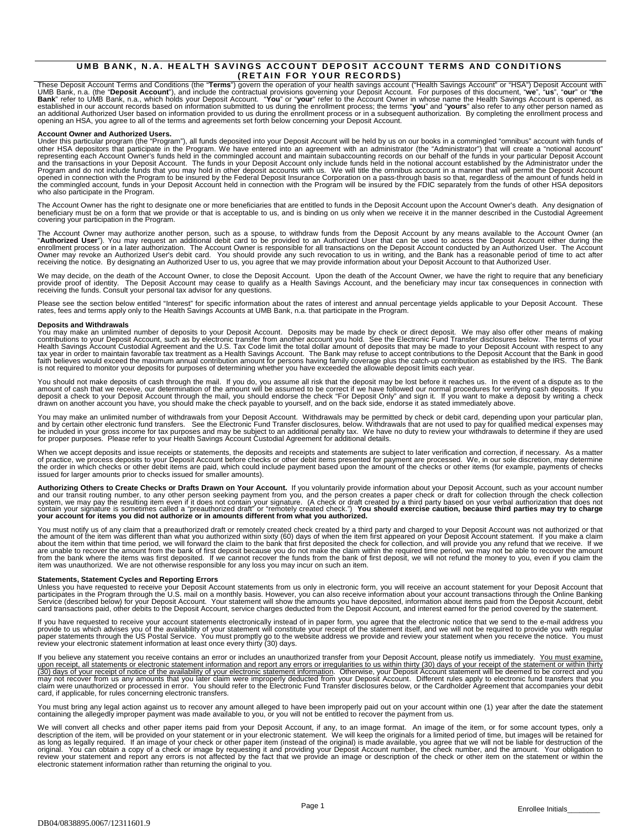## **UMB BANK, N.A. HEALTH SAVINGS ACCOUNT DEPOSIT ACCOUNT TERMS AND CONDITIONS (RETAIN FOR YOUR RECORDS)**

These Deposit Account Terms and Conditions (the "**Terms**") govern the operation of your health savings account ("Health Savings Account" or "HSA") Deposit Account with<br>UMB Bank, n.a. (the "D**eposit Account"**), and include

Account Owner and Authorized Users.<br>Under this particular program (the "Program"), all funds deposited into your Deposit Account will be held by us on our books in a commingled "omnibus" account with funds of<br>Under this pa who also participate in the Program.

The Account Owner has the right to designate one or more beneficiaries that are entitled to funds in the Deposit Account upon the Account Owner's death. Any designation of<br>beneficiary must be on a form that we provide or covering your participation in the Program.

The Account Owner may authorize another person, such as a spouse, to withdraw funds from the Deposit Account by any means available to the Account Owner (an<br>"**Authorized User**"). You may request an additional debit card to

We may decide, on the death of the Account Owner, to close the Deposit Account. Upon the death of the Account Owner, we have the right to require that any beneficiary<br>provide proof of identity. The Deposit Account may ceas

Please see the section below entitled "Interest" for specific information about the rates of interest and annual percentage yields applicable to your Deposit Account. These<br>rates, fees and terms apply only to the Health Sa

#### **Deposits and Withdrawals**

You may make an unlimited number of deposits to your Deposit Account. Deposits may be made by check or direct deposit. We may also offer other means of making<br>contributions to your Deposit Account, such as by electronic tr

You should not make deposits of cash through the mail. If you do, you assume all risk that the deposit may be lost before it reaches us. In the event of a dispute as to the<br>amount of cash that we receive, our determination

You may make an unlimited number of withdrawals from your Deposit Account. Withdrawals may be permitted by check or debit card, depending upon your particular plan,<br>and by certain other electronic fund transfers. See the

When we accept deposits and issue receipts or statements, the deposits and receipts and statements are subject to later verification and correction, if necessary. As a matter of practice, we process deposits to your Deposit Account before checks or other debit items presented for payment are processed. We, in our sole discretion, may determine<br>the order in which checks or other debit items are

Authorizing Others to Create Checks or Drafts Drawn on Your Account. If you voluntarily provide information about your Deposit Account, such as your account number<br>and our transit routing number, to any other person seekin

You must notify us of any claim that a preauthorized draft or remotely created check created by a third party and charged to your Deposit Account was not authorized or that<br>the amount of the item was different than what yo are unable to recover the amount from the bank of first deposit because you do not make the claim within the required time period, we may not be able to recover the amount<br>from the bank where the items was first deposited.

### **Statements, Statement Cycles and Reporting Errors**

Unless you have requested to receive your Deposit Account statements from us only in electronic form, you will receive an account statement for your Deposit Account that<br>participates in the Program through the U.S. mail on card transactions paid, other debits to the Deposit Account, service charges deducted from the Deposit Account, and interest earned for the period covered by the statement.

lf you have requested to receive your account statements electronically instead of in paper form, you agree that the electronic notice that we send to the e-mail address you<br>provide to us which advises you of the availabil

If you believe any statement you receive contains an error or includes an unauthorized transfer from your Deposit Account, please notify us immediately. You must examine, upon receipt, all statements or electronic statement information and report any errors or irregularities to us within thirty (30) days of your receipt of the statement or within thirty<br>(30) days of your receipt of notice o card, if applicable, for rules concerning electronic transfers.

You must bring any legal action against us to recover any amount alleged to have been improperly paid out on your account within one (1) year after the date the statement<br>containing the allegedly improper payment was made

We will convert all checks and other paper items paid from your Deposit Account, if any, to an image format. An image of the item, or for some account types, only a<br>description of the item, will be provided on your stateme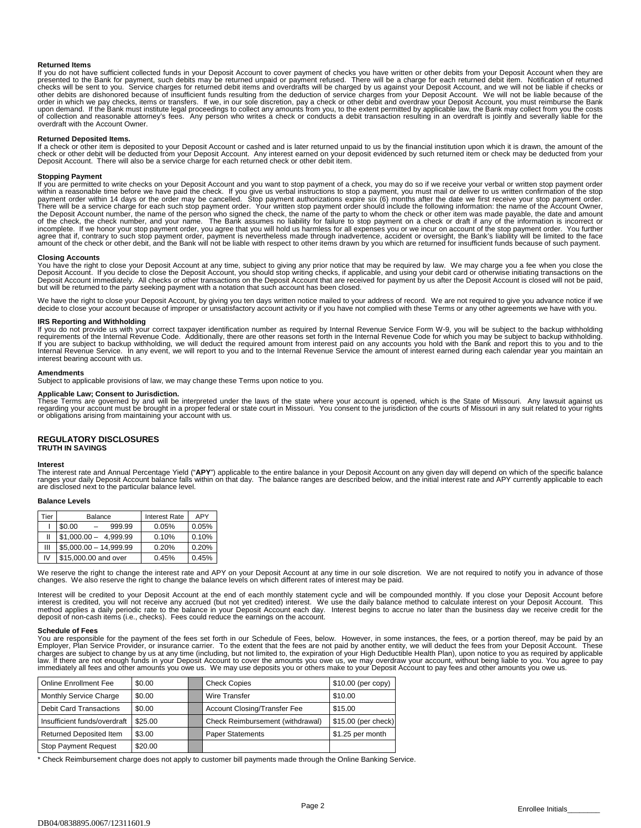### **Returned Items**

lf you do not have sufficient collected funds in your Deposit Account to cover payment of checks you have written or other debits from your Deposit Account when they are<br>presented to the Bank for payment, such debits may b checks will be sent to you. Service charges for returned debit items and overdrafts will be charged by us against your Deposit Account, and we will not be liable if checks or<br>other debits are dishonored because of insuffi upon demand. If the Bank must institute legal proceedings to collect any amounts from you, to the extent permitted by applicable law, the Bank may collect from you the costs<br>of collection and reasonable attorney's fees. An overdraft with the Account Owner.

#### **Returned Deposited Items.**

If a check or other item is deposited to your Deposit Account or cashed and is later returned unpaid to us by the financial institution upon which it is drawn, the amount of the check or other debit will be deducted from your Deposit Account. Any interest earned on your deposit evidenced by such returned item or check may be deducted from your<br>Deposit Account. There will also be a service charge

### **Stopping Payment**

If you are permitted to write checks on your Deposit Account and you want to stop payment of a check, you may do so if we receive your verbal or written stop payment order within a reasonable time before we have paid the check. If you give us verbal instructions to stop a payment, you must mail or deliver to us written confirmation of the stop<br>payment order within 14 days or the order may be There will be a service charge for each such stop payment order. Your written stop payment order should include the following information: the name of the Account Owner, the Deposit Account number, the name of the person who signed the check, the name of the party to whom the check or other item was made payable, the date and amount<br>of the check, the check number, and your name. The Bank a

#### **Closing Accounts**

You have the right to close your Deposit Account at any time, subject to giving any prior notice that may be required by law. We may charge you a fee when you close the<br>Deposit Account. If you decide to close the Deposit Deposit Account immediately. All checks or other transactions on the Deposit Account that are received for payment by us after the Deposit Account is closed will not be paid,<br>but will be returned to the party seeking payme

We have the right to close your Deposit Account, by giving you ten days written notice mailed to your address of record. We are not required to give you advance notice if we decide to close your account because of improper or unsatisfactory account activity or if you have not complied with these Terms or any other agreements we have with you.

**IRS Reporting and Withholding**<br>If you do not provide us with your correct taxpayer identification number as required by Internal Revenue Service Form W-9, you will be subject to the backup withholding requirements of the Internal Revenue Code. Additionally, there are other reasons set forth in the Internal Revenue Code for which you may be subject to backup withholding.<br>If you are subject to backup withholding, we will interest bearing account with us.

#### **Amendments**

Subject to applicable provisions of law, we may change these Terms upon notice to you.

**Applicable Law; Consent to Jurisdiction.**<br>These Terms are governed by and will be interpreted under the laws of the state where your account is opened, which is the State of Missouri. Any lawsuit against us<br>regarding you or obligations arising from maintaining your account with us.

#### **REGULATORY DISCLOSURES TRUTH IN SAVINGS**

**Interest**<br>The interest rate and Annual Percentage Yield ("**APY**") applicable to the entire balance in your Deposit Account on any given day will depend on which of the specific balance<br>ranges your daily Deposit Account ba

#### **Balance Levels**

| Tier | Balance                 | <b>Interest Rate</b> | APY   |
|------|-------------------------|----------------------|-------|
|      | \$0.00<br>999 99        | 0.05%                | 0.05% |
| Ш    | $$1,000.00 - 4,999.99$  | 0.10%                | 0.10% |
| Ш    | $$5,000.00 - 14,999.99$ | 0.20%                | 0.20% |
| IV   | \$15,000.00 and over    | 0.45%                | 0.45% |

We reserve the right to change the interest rate and APY on your Deposit Account at any time in our sole discretion. We are not required to notify you in advance of those<br>changes. We also reserve the right to change the ba

Interest will be credited to your Deposit Account at the end of each monthly statement cycle and will be compounded monthly. If you close your Deposit Account before<br>interest is credited, you will not receive any accrued ( deposit of non-cash items (i.e., checks). Fees could reduce the earnings on the account.

#### **Schedule of Fees**

You are responsible for the payment of the fees set forth in our Schedule of Fees, below. However, in some instances, the fees, or a portion thereof, may be paid by an<br>Employer, Plan Service Provider, or insurance carrier law. If there are not enough funds in your Deposit Account to cover the amounts you owe us, we may overdraw your account, without being liable to you. You agree to pay<br>immediately all fees and other amounts you owe us. We

| <b>Online Enrollment Fee</b>   | \$0.00  | <b>Check Copies</b>                 | $$10.00$ (per copy) |
|--------------------------------|---------|-------------------------------------|---------------------|
| Monthly Service Charge         | \$0.00  | Wire Transfer                       | \$10.00             |
| <b>Debit Card Transactions</b> | \$0.00  | <b>Account Closing/Transfer Fee</b> | \$15.00             |
| Insufficient funds/overdraft   | \$25.00 | Check Reimbursement (withdrawal)    | \$15.00 (per check) |
| <b>Returned Deposited Item</b> | \$3.00  | <b>Paper Statements</b>             | \$1.25 per month    |
| <b>Stop Payment Request</b>    | \$20.00 |                                     |                     |

\* Check Reimbursement charge does not apply to customer bill payments made through the Online Banking Service.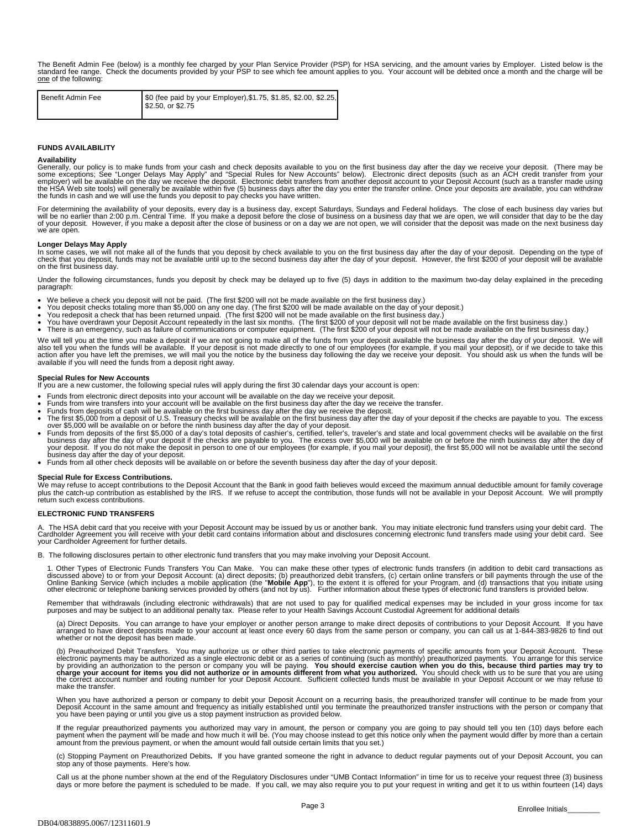The Benefit Admin Fee (below) is a monthly fee charged by your Plan Service Provider (PSP) for HSA servicing, and the amount varies by Employer. Listed below is the<br>standard fee range. Check the documents provided by your one of the following:

| Benefit Admin Fee | \$0 (fee paid by your Employer), \$1.75, \$1.85, \$2.00, \$2.25,<br>\$2.50, or \$2.75 |
|-------------------|---------------------------------------------------------------------------------------|
|                   |                                                                                       |

### **FUNDS AVAILABILITY**

#### **Availability**

Generally, our policy is to make funds from your cash and check deposits available to you on the first business day after the day we receive your deposit. (There may be some exceptions; See "Longer Delays May Apply" and "S

For determining the availability of your deposits, every day is a business day, except Saturdays, Sundays and Federal holidays. The close of each business day varies but<br>will be no earlier than 2:00 p.m. Central Time. If y we are open.

Longer Delays May Apply<br>In some cases, we will not make all of the funds that you deposit by check available to you on the first business day after the day of your deposit. Depending on the type of<br>check that you deposit,

Under the following circumstances, funds you deposit by check may be delayed up to five (5) days in addition to the maximum two-day delay explained in the preceding paragraph:

- We believe a check you deposit will not be paid. (The first \$200 will not be made available on the first business day.)
- 
- You deposit checks totaling more than \$5,000 on any one day. (The first \$200 will be made available on the day of your deposit.)<br>• You redeposit a check that has been returned unpaid. (The first \$200 will not be made av
- 

• There is an emergency, such as failure of communications or computer equipment. (The first \$200 of your deposit will not be made available on the first business day.) We will tell you at the time you make a deposit if we are not going to make all of the funds from your deposit available the business day after the day of your deposit. We will also tell you when the funds will be available. If your deposit is not made directly to one of our employees (for example, if you mail your deposit), or if we decide to take this<br>action after you have left the premises, we

### **Special Rules for New Accounts**

If you are a new customer, the following special rules will apply during the first 30 calendar days your account is open:

- 
- 
- 
- 
- Funds from electronic direct deposits into your account will be available on the day we receive your deposit.<br>
Funds from deposits of cash will be available on the first business day after the day we receive the transfer
- business day after the day of your deposit. Funds from all other check deposits will be available on or before the seventh business day after the day of your deposit.

### **Special Rule for Excess Contributions.**

We may refuse to accept contributions to the Deposit Account that the Bank in good faith believes would exceed the maximum annual deductible amount for family coverage plus the catch-up contribution as established by the IRS. If we refuse to accept the contribution, those funds will not be available in your Deposit Account. We will promptly return such excess contributions.

### **ELECTRONIC FUND TRANSFERS**

The HSA debit card that you receive with your Deposit Account may be issued by us or another bank. You may initiate electronic fund transfers using your debit card. The Cardholder Agreement you will receive with your debit card contains information about and disclosures concerning electronic fund transfers made using your debit card. See your Cardholder Agreement for further details.

B. The following disclosures pertain to other electronic fund transfers that you may make involving your Deposit Account.

1. Other Types of Electronic Funds Transfers You Can Make. You can make these other types of electronic funds transfers (in addition to debit card transactions as<br>discussed above) to or from your Deposit Account: (a) direc

Remember that withdrawals (including electronic withdrawals) that are not used to pay for qualified medical expenses may be included in your gross income for tax<br>purposes and may be subject to an additional penalty tax. Pl

(a) Direct Deposits. You can arrange to have your employer or another person arrange to make direct deposits of contributions to your Deposit Account. If you have arranged to have direct deposits made to your account at least once every 60 days from the same person or company, you can call us at 1-844-383-9826 to find out whether or not the deposit has been made.

(b) Preauthorized Debit Transfers. You may authorize us or other third parties to take electronic payments of specific amounts from your Deposit Account. These electronic payments may be authorized as a single electronic debit or as a series of continuing (such as monthly) preauthorized payments. You arrange for this service<br>by providing an authorization to the person or company make the transfer.

When you have authorized a person or company to debit your Deposit Account on a recurring basis, the preauthorized transfer will continue to be made from your<br>Deposit Account in the same amount and frequency as initially e

If the regular preauthorized payments you authorized may vary in amount, the person or company you are going to pay should tell you ten (10) days before each<br>payment when the payment will be made and how much it will be. (

(c) Stopping Payment on Preauthorized Debits**.** If you have granted someone the right in advance to deduct regular payments out of your Deposit Account, you can stop any of those payments. Here's how.

Call us at the phone number shown at the end of the Regulatory Disclosures under "UMB Contact Information" in time for us to receive your request three (3) business days or more before the payment is scheduled to be made. If you call, we may also require you to put your request in writing and get it to us within fourteen (14) days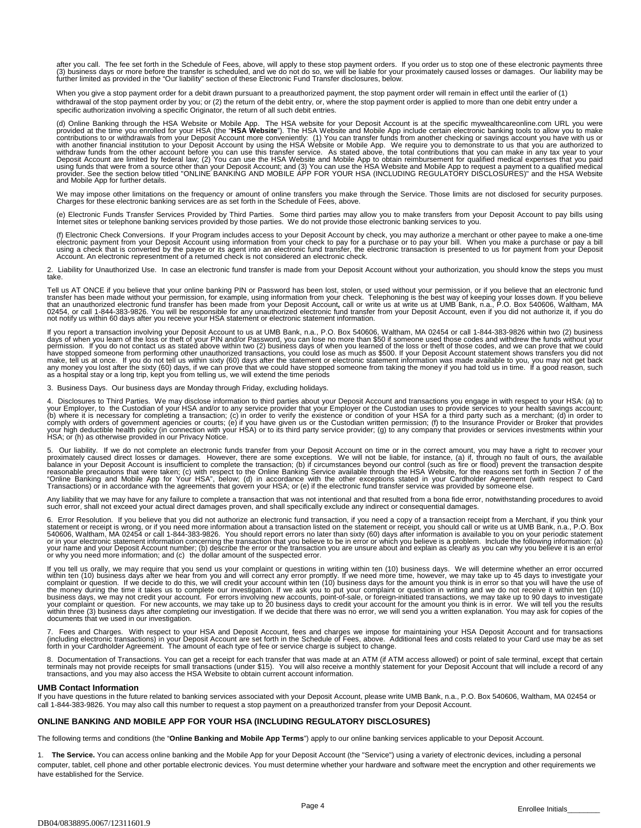after you call. The fee set forth in the Schedule of Fees, above, will apply to these stop payment orders. If you order us to stop one of these electronic payments three (3) business days or more before the transfer is scheduled, and we do not do so, we will be liable for your proximately caused losses or damages. Our liability may be further limited as provided in the "Our liability" section of these Electronic Fund Transfer disclosures, below.

When you give a stop payment order for a debit drawn pursuant to a preauthorized payment, the stop payment order will remain in effect until the earlier of (1) withdrawal of the stop payment order by you; or (2) the return of the debit entry, or, where the stop payment order is applied to more than one debit entry under a specific authorization involving a specific Originator, the return of all such debit entries.

(d) Online Banking through the HSA Website or Mobile App. The HSA website for your Deposit Account is at the specific mywealthcareonline.com URL you were<br>provided at the time you enrolled for your HSA (the "HSA Website"). and Mobile App for further details.

We may impose other limitations on the frequency or amount of online transfers you make through the Service. Those limits are not disclosed for security purposes.<br>Charges for these electronic banking services are as set fo

(e) Electronic Funds Transfer Services Provided by Third Parties. Some third parties may allow you to make transfers from your Deposit Account to pay bills using<br>Internet sites or telephone banking services provided by tho

(f) Electronic Check Conversions. If your Program includes access to your Deposit Account by check, you may authorize a merchant or other payee to make a one-time<br>electronic payment from your Deposit Account using informat

2. Liability for Unauthorized Use.In case an electronic fund transfer is made from your Deposit Account without your authorization, you should know the steps you must take.

Tell us AT ONCE if you believe that your online banking PIN or Password has been lost, stolen, or used without your permission, or if you believe that an electronic fund<br>transfer has been made without your permission, for not notify us within 60 days after you receive your HSA statement or electronic statement information.

If you report a transaction involving your Deposit Account to us at UMB Bank, n.a., P.O. Box 540606, Waltham, MA 02454 or call 1-844-383-9826 within two (2) business<br>days of when you learn of the loss or theft of your PIN as a hospital stay or a long trip, kept you from telling us, we will extend the time periods

3. Business Days. Our business days are Monday through Friday, excluding holidays.

4. Disclosures to Third Parties. We may disclose information to third parties about your Deposit Account and transactions you engage in with respect to your HSA: (a) to<br>your Employer, to the Custodian of your HSA and/or to (b) where it is necessary for completing a transaction; (c) in order to verify the existence or condition of your HSA for a third party such as a merchant; (d) in order to<br>comply with orders of government agencies or court

5. Our liability. If we do not complete an electronic funds transfer from your Deposit Account on time or in the correct amount, you may have a right to recover your polaries. However, there are some exceptions. We will no

Any liability that we may have for any failure to complete a transaction that was not intentional and that resulted from a bona fide error, notwithstanding procedures to avoid such error, shall not exceed your actual direct damages proven, and shall specifically exclude any indirect or consequential damages.

6. Error Resolution. If you believe that you did not authorize an electronic fund transaction, if you need a copy of a transaction receipt from a Merchant, if you think your<br>statement or receipt is wrong, or if you need mo or why you need more information; and (c) the dollar amount of the suspected error.

If you tell us orally, we may require that you send us your complaint or questions in writing within ten (10) business days. We will determine whether an error occurred within ten (10) business days. We will determine whet

7. Fees and Charges. With respect to your HSA and Deposit Account, fees and charges we impose for maintaining your HSA Deposit Account and for transactions<br>(including electronic transactions) in your Deposit Account are

8. Documentation of Transactions. You can get a receipt for each transfer that was made at an ATM (if ATM access allowed) or point of sale terminal, except that certain<br>terminals may not provide receipts for small transac

## **UMB Contact Information**

If you have questions in the future related to banking services associated with your Deposit Account, please write UMB Bank, n.a., P.O. Box 540606, Waltham, MA 02454 or call 1-844-383-9826. You may also call this number to request a stop payment on a preauthorized transfer from your Deposit Account.

## **ONLINE BANKING AND MOBILE APP FOR YOUR HSA (INCLUDING REGULATORY DISCLOSURES)**

The following terms and conditions (the "**Online Banking and Mobile App Terms**") apply to our online banking services applicable to your Deposit Account.

1. **The Service.** You can access online banking and the Mobile App for your Deposit Account (the "Service") using a variety of electronic devices, including a personal computer, tablet, cell phone and other portable electronic devices. You must determine whether your hardware and software meet the encryption and other requirements we have established for the Service.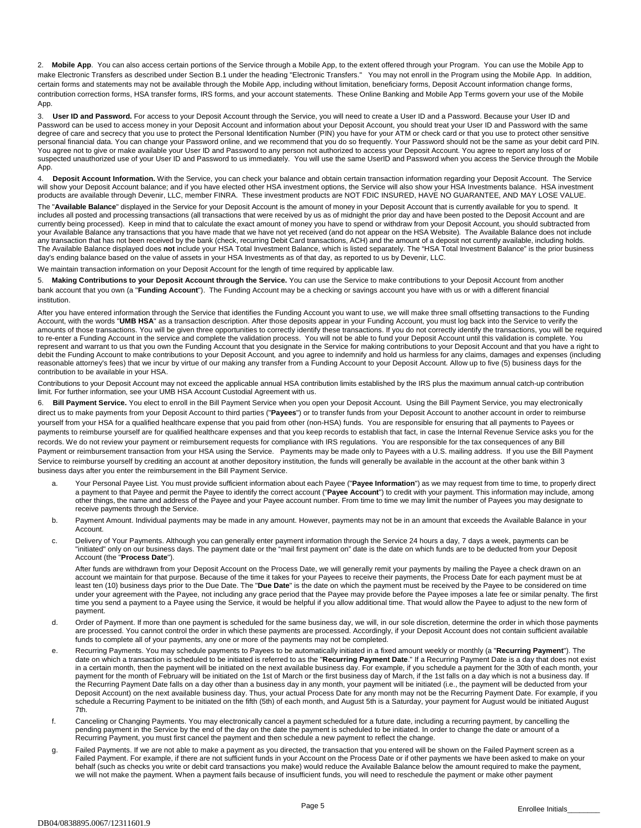2. **Mobile App**. You can also access certain portions of the Service through a Mobile App, to the extent offered through your Program. You can use the Mobile App to make Electronic Transfers as described under Section B.1 under the heading "Electronic Transfers." You may not enroll in the Program using the Mobile App. In addition, certain forms and statements may not be available through the Mobile App, including without limitation, beneficiary forms, Deposit Account information change forms, contribution correction forms, HSA transfer forms, IRS forms, and your account statements. These Online Banking and Mobile App Terms govern your use of the Mobile App.

3. **User ID and Password.** For access to your Deposit Account through the Service, you will need to create a User ID and a Password. Because your User ID and Password can be used to access money in your Deposit Account and information about your Deposit Account, you should treat your User ID and Password with the same degree of care and secrecy that you use to protect the Personal Identification Number (PIN) you have for your ATM or check card or that you use to protect other sensitive personal financial data. You can change your Password online, and we recommend that you do so frequently. Your Password should not be the same as your debit card PIN. You agree not to give or make available your User ID and Password to any person not authorized to access your Deposit Account. You agree to report any loss of or suspected unauthorized use of your User ID and Password to us immediately. You will use the same UserID and Password when you access the Service through the Mobile App.

4. **Deposit Account Information.** With the Service, you can check your balance and obtain certain transaction information regarding your Deposit Account. The Service will show your Deposit Account balance; and if you have elected other HSA investment options, the Service will also show your HSA Investments balance. HSA investment products are available through Devenir, LLC, member FINRA. These investment products are NOT FDIC INSURED, HAVE NO GUARANTEE, AND MAY LOSE VALUE.

The "**Available Balance**" displayed in the Service for your Deposit Account is the amount of money in your Deposit Account that is currently available for you to spend. It includes all posted and processing transactions (all transactions that were received by us as of midnight the prior day and have been posted to the Deposit Account and are currently being processed). Keep in mind that to calculate the exact amount of money you have to spend or withdraw from your Deposit Account, you should subtracted from your Available Balance any transactions that you have made that we have not yet received (and do not appear on the HSA Website). The Available Balance does not include any transaction that has not been received by the bank (check, recurring Debit Card transactions, ACH) and the amount of a deposit not currently available, including holds. The Available Balance displayed does **not** include your HSA Total Investment Balance, which is listed separately. The "HSA Total Investment Balance" is the prior business day's ending balance based on the value of assets in your HSA Investments as of that day, as reported to us by Devenir, LLC.

We maintain transaction information on your Deposit Account for the length of time required by applicable law.

5. **Making Contributions to your Deposit Account through the Service.** You can use the Service to make contributions to your Deposit Account from another bank account that you own (a "**Funding Account**"). The Funding Account may be a checking or savings account you have with us or with a different financial institution.

After you have entered information through the Service that identifies the Funding Account you want to use, we will make three small offsetting transactions to the Funding Account, with the words "UMB HSA" as a transaction description. After those deposits appear in your Funding Account, you must log back into the Service to verify the amounts of those transactions. You will be given three opportunities to correctly identify these transactions. If you do not correctly identify the transactions, you will be required to re-enter a Funding Account in the service and complete the validation process. You will not be able to fund your Deposit Account until this validation is complete. You represent and warrant to us that you own the Funding Account that you designate in the Service for making contributions to your Deposit Account and that you have a right to debit the Funding Account to make contributions to your Deposit Account*,* and you agree to indemnify and hold us harmless for any claims, damages and expenses (including reasonable attorney's fees) that we incur by virtue of our making any transfer from a Funding Account to your Deposit Account. Allow up to five (5) business days for the contribution to be available in your HSA.

Contributions to your Deposit Account may not exceed the applicable annual HSA contribution limits established by the IRS plus the maximum annual catch-up contribution limit. For further information, see your UMB HSA Account Custodial Agreement with us.

6. **Bill Payment Service.** You elect to enroll in the Bill Payment Service when you open your Deposit Account. Using the Bill Payment Service, you may electronically direct us to make payments from your Deposit Account to third parties ("**Payees**") or to transfer funds from your Deposit Account to another account in order to reimburse yourself from your HSA for a qualified healthcare expense that you paid from other (non-HSA) funds. You are responsible for ensuring that all payments to Payees or payments to reimburse yourself are for qualified healthcare expenses and that you keep records to establish that fact, in case the Internal Revenue Service asks you for the records. We do not review your payment or reimbursement requests for compliance with IRS regulations. You are responsible for the tax consequences of any Bill Payment or reimbursement transaction from your HSA using the Service. Payments may be made only to Payees with a U.S. mailing address. If you use the Bill Payment Service to reimburse yourself by crediting an account at another depository institution, the funds will generally be available in the account at the other bank within 3 business days after you enter the reimbursement in the Bill Payment Service.

- a. Your Personal Payee List. You must provide sufficient information about each Payee ("**Payee Information**") as we may request from time to time, to properly direct a payment to that Payee and permit the Payee to identify the correct account ("**Payee Account**") to credit with your payment. This information may include, among other things, the name and address of the Payee and your Payee account number. From time to time we may limit the number of Payees you may designate to receive payments through the Service.
- b. Payment Amount. Individual payments may be made in any amount. However, payments may not be in an amount that exceeds the Available Balance in your Account.
- c. Delivery of Your Payments. Although you can generally enter payment information through the Service 24 hours a day, 7 days a week, payments can be "initiated" only on our business days. The payment date or the "mail first payment on" date is the date on which funds are to be deducted from your Deposit Account (the "**Process Date**").

After funds are withdrawn from your Deposit Account on the Process Date, we will generally remit your payments by mailing the Payee a check drawn on an account we maintain for that purpose. Because of the time it takes for your Payees to receive their payments, the Process Date for each payment must be at least ten (10) business days prior to the Due Date. The "**Due Date**" is the date on which the payment must be received by the Payee to be considered on time under your agreement with the Payee, not including any grace period that the Payee may provide before the Payee imposes a late fee or similar penalty. The first time you send a payment to a Payee using the Service, it would be helpful if you allow additional time. That would allow the Payee to adjust to the new form of payment.

- d. Order of Payment. If more than one payment is scheduled for the same business day, we will, in our sole discretion, determine the order in which those payments are processed. You cannot control the order in which these payments are processed. Accordingly, if your Deposit Account does not contain sufficient available funds to complete all of your payments, any one or more of the payments may not be completed.
- e. Recurring Payments. You may schedule payments to Payees to be automatically initiated in a fixed amount weekly or monthly (a "**Recurring Payment**"). The date on which a transaction is scheduled to be initiated is referred to as the "**Recurring Payment Date**." If a Recurring Payment Date is a day that does not exist in a certain month, then the payment will be initiated on the next available business day. For example, if you schedule a payment for the 30th of each month, your payment for the month of February will be initiated on the 1st of March or the first business day of March, if the 1st falls on a day which is not a business day. If the Recurring Payment Date falls on a day other than a business day in any month, your payment will be initiated (i.e., the payment will be deducted from your Deposit Account) on the next available business day. Thus, your actual Process Date for any month may not be the Recurring Payment Date. For example, if you schedule a Recurring Payment to be initiated on the fifth (5th) of each month, and August 5th is a Saturday, your payment for August would be initiated August 7th.
- f. Canceling or Changing Payments. You may electronically cancel a payment scheduled for a future date, including a recurring payment, by cancelling the pending payment in the Service by the end of the day on the date the payment is scheduled to be initiated. In order to change the date or amount of a Recurring Payment, you must first cancel the payment and then schedule a new payment to reflect the change.
- g. Failed Payments. If we are not able to make a payment as you directed, the transaction that you entered will be shown on the Failed Payment screen as a Failed Payment. For example, if there are not sufficient funds in your Account on the Process Date or if other payments we have been asked to make on your behalf (such as checks you write or debit card transactions you make) would reduce the Available Balance below the amount required to make the payment, we will not make the payment. When a payment fails because of insufficient funds, you will need to reschedule the payment or make other payment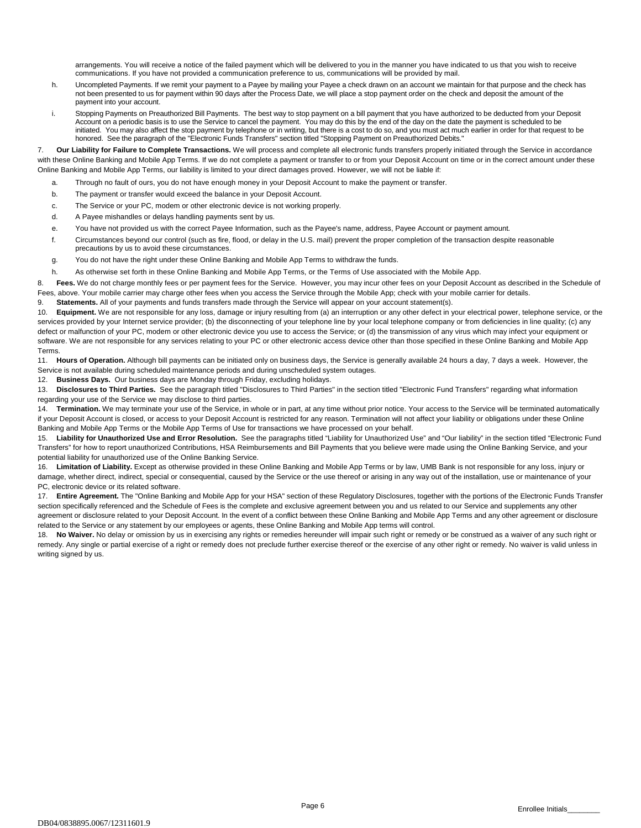arrangements. You will receive a notice of the failed payment which will be delivered to you in the manner you have indicated to us that you wish to receive communications. If you have not provided a communication preference to us, communications will be provided by mail.

- h. Uncompleted Payments. If we remit your payment to a Payee by mailing your Payee a check drawn on an account we maintain for that purpose and the check has not been presented to us for payment within 90 days after the Process Date, we will place a stop payment order on the check and deposit the amount of the payment into your account.
- i. Stopping Payments on Preauthorized Bill Payments. The best way to stop payment on a bill payment that you have authorized to be deducted from your Deposit Account on a periodic basis is to use the Service to cancel the payment. You may do this by the end of the day on the date the payment is scheduled to be initiated. You may also affect the stop payment by telephone or in writing, but there is a cost to do so, and you must act much earlier in order for that request to be honored. See the paragraph of the "Electronic Funds Transfers" section titled "Stopping Payment on Preauthorized Debits."

7. **Our Liability for Failure to Complete Transactions.** We will process and complete all electronic funds transfers properly initiated through the Service in accordance with these Online Banking and Mobile App Terms. If we do not complete a payment or transfer to or from your Deposit Account on time or in the correct amount under these Online Banking and Mobile App Terms, our liability is limited to your direct damages proved. However, we will not be liable if:

- a. Through no fault of ours, you do not have enough money in your Deposit Account to make the payment or transfer.
- b. The payment or transfer would exceed the balance in your Deposit Account.
- c. The Service or your PC, modem or other electronic device is not working properly.
- d. A Payee mishandles or delays handling payments sent by us.
- e. You have not provided us with the correct Payee Information, such as the Payee's name, address, Payee Account or payment amount.
- f. Circumstances beyond our control (such as fire, flood, or delay in the U.S. mail) prevent the proper completion of the transaction despite reasonable precautions by us to avoid these circumstances.
- g. You do not have the right under these Online Banking and Mobile App Terms to withdraw the funds.
- h. As otherwise set forth in these Online Banking and Mobile App Terms, or the Terms of Use associated with the Mobile App.

8. **Fees.** We do not charge monthly fees or per payment fees for the Service. However, you may incur other fees on your Deposit Account as described in the Schedule of Fees, above. Your mobile carrier may charge other fees when you access the Service through the Mobile App; check with your mobile carrier for details.

9. **Statements.** All of your payments and funds transfers made through the Service will appear on your account statement(s).

10. **Equipment.** We are not responsible for any loss, damage or injury resulting from (a) an interruption or any other defect in your electrical power, telephone service, or the services provided by your Internet service provider; (b) the disconnecting of your telephone line by your local telephone company or from deficiencies in line quality; (c) any defect or malfunction of your PC, modem or other electronic device you use to access the Service; or (d) the transmission of any virus which may infect your equipment or software. We are not responsible for any services relating to your PC or other electronic access device other than those specified in these Online Banking and Mobile App Terms.

11. **Hours of Operation.** Although bill payments can be initiated only on business days, the Service is generally available 24 hours a day, 7 days a week. However, the Service is not available during scheduled maintenance periods and during unscheduled system outages.

12. **Business Days.** Our business days are Monday through Friday, excluding holidays.

13. **Disclosures to Third Parties.** See the paragraph titled "Disclosures to Third Parties" in the section titled "Electronic Fund Transfers" regarding what information regarding your use of the Service we may disclose to third parties.

14. **Termination.** We may terminate your use of the Service, in whole or in part, at any time without prior notice. Your access to the Service will be terminated automatically if your Deposit Account is closed, or access to your Deposit Account is restricted for any reason. Termination will not affect your liability or obligations under these Online Banking and Mobile App Terms or the Mobile App Terms of Use for transactions we have processed on your behalf.

15. **Liability for Unauthorized Use and Error Resolution.** See the paragraphs titled "Liability for Unauthorized Use" and "Our liability" in the section titled "Electronic Fund Transfers" for how to report unauthorized Contributions, HSA Reimbursements and Bill Payments that you believe were made using the Online Banking Service, and your potential liability for unauthorized use of the Online Banking Service.

16. **Limitation of Liability.** Except as otherwise provided in these Online Banking and Mobile App Terms or by law, UMB Bank is not responsible for any loss, injury or damage, whether direct, indirect, special or consequential, caused by the Service or the use thereof or arising in any way out of the installation, use or maintenance of your PC, electronic device or its related software.

17. **Entire Agreement.** The "Online Banking and Mobile App for your HSA" section of these Regulatory Disclosures, together with the portions of the Electronic Funds Transfer section specifically referenced and the Schedule of Fees is the complete and exclusive agreement between you and us related to our Service and supplements any other agreement or disclosure related to your Deposit Account. In the event of a conflict between these Online Banking and Mobile App Terms and any other agreement or disclosure related to the Service or any statement by our employees or agents, these Online Banking and Mobile App terms will control.

18. **No Waiver.** No delay or omission by us in exercising any rights or remedies hereunder will impair such right or remedy or be construed as a waiver of any such right or remedy. Any single or partial exercise of a right or remedy does not preclude further exercise thereof or the exercise of any other right or remedy. No waiver is valid unless in writing signed by us.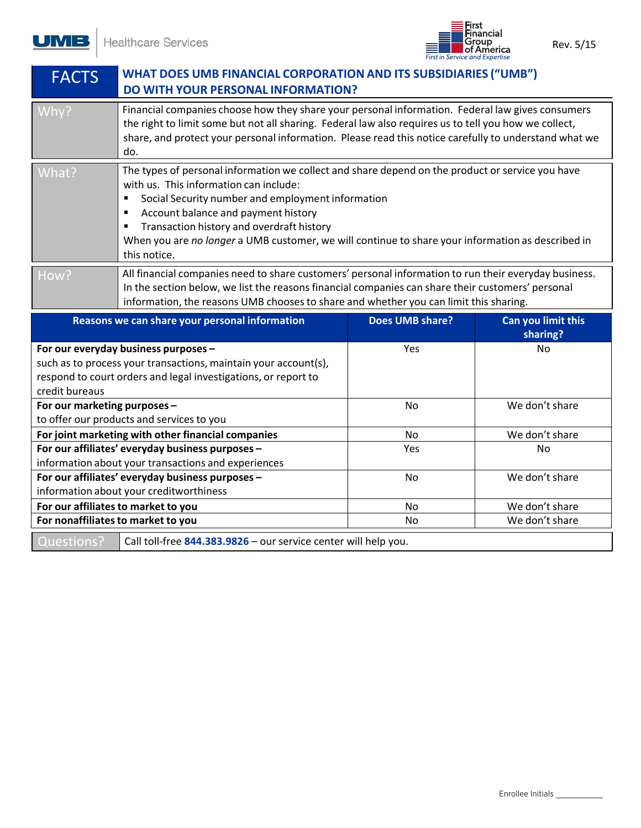Healthcare Services

**UMB** 



| <b>FACTS</b>                                                                                                                                                                                                                                                                                                                                                                                                                     | <b>WHAT DOES UMB FINANCIAL CORPORATION AND ITS SUBSIDIARIES ("UMB")</b><br><b>DO WITH YOUR PERSONAL INFORMATION?</b>                                                                                                                                                                                                      |                        |                                |  |
|----------------------------------------------------------------------------------------------------------------------------------------------------------------------------------------------------------------------------------------------------------------------------------------------------------------------------------------------------------------------------------------------------------------------------------|---------------------------------------------------------------------------------------------------------------------------------------------------------------------------------------------------------------------------------------------------------------------------------------------------------------------------|------------------------|--------------------------------|--|
| Why?                                                                                                                                                                                                                                                                                                                                                                                                                             | Financial companies choose how they share your personal information. Federal law gives consumers<br>the right to limit some but not all sharing. Federal law also requires us to tell you how we collect,<br>share, and protect your personal information. Please read this notice carefully to understand what we<br>do. |                        |                                |  |
| The types of personal information we collect and share depend on the product or service you have<br>What?<br>with us. This information can include:<br>Social Security number and employment information<br>٠<br>Account balance and payment history<br>٠<br>Transaction history and overdraft history<br>٠<br>When you are no longer a UMB customer, we will continue to share your information as described in<br>this notice. |                                                                                                                                                                                                                                                                                                                           |                        |                                |  |
| All financial companies need to share customers' personal information to run their everyday business.<br>How?<br>In the section below, we list the reasons financial companies can share their customers' personal<br>information, the reasons UMB chooses to share and whether you can limit this sharing.                                                                                                                      |                                                                                                                                                                                                                                                                                                                           |                        |                                |  |
|                                                                                                                                                                                                                                                                                                                                                                                                                                  |                                                                                                                                                                                                                                                                                                                           |                        |                                |  |
|                                                                                                                                                                                                                                                                                                                                                                                                                                  | Reasons we can share your personal information                                                                                                                                                                                                                                                                            | <b>Does UMB share?</b> | Can you limit this<br>sharing? |  |
|                                                                                                                                                                                                                                                                                                                                                                                                                                  | For our everyday business purposes -<br>such as to process your transactions, maintain your account(s),<br>respond to court orders and legal investigations, or report to                                                                                                                                                 | Yes                    | No                             |  |
| credit bureaus<br>For our marketing purposes -                                                                                                                                                                                                                                                                                                                                                                                   | to offer our products and services to you                                                                                                                                                                                                                                                                                 | <b>No</b>              | We don't share                 |  |
|                                                                                                                                                                                                                                                                                                                                                                                                                                  | For joint marketing with other financial companies                                                                                                                                                                                                                                                                        | <b>No</b>              | We don't share                 |  |
|                                                                                                                                                                                                                                                                                                                                                                                                                                  | For our affiliates' everyday business purposes -                                                                                                                                                                                                                                                                          | Yes                    | <b>No</b>                      |  |
|                                                                                                                                                                                                                                                                                                                                                                                                                                  | information about your transactions and experiences                                                                                                                                                                                                                                                                       |                        |                                |  |
|                                                                                                                                                                                                                                                                                                                                                                                                                                  | For our affiliates' everyday business purposes -<br>information about your creditworthiness                                                                                                                                                                                                                               | No                     | We don't share                 |  |
|                                                                                                                                                                                                                                                                                                                                                                                                                                  | For our affiliates to market to you                                                                                                                                                                                                                                                                                       | <b>No</b>              | We don't share                 |  |
|                                                                                                                                                                                                                                                                                                                                                                                                                                  | For nonaffiliates to market to you                                                                                                                                                                                                                                                                                        | No.                    | We don't share                 |  |